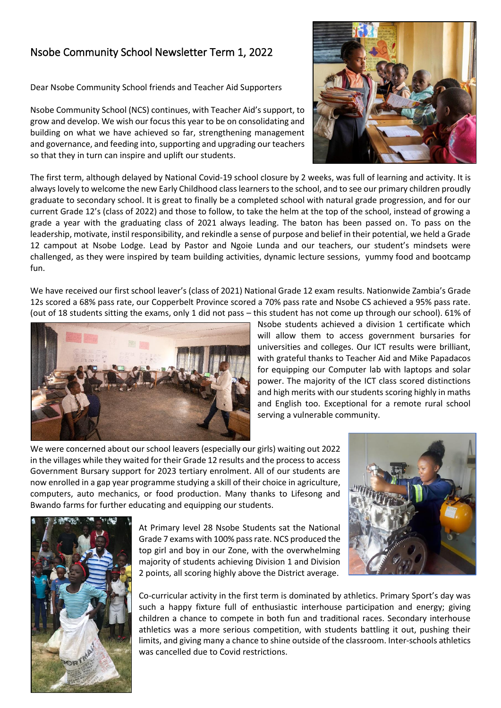## Nsobe Community School Newsletter Term 1, 2022

Dear Nsobe Community School friends and Teacher Aid Supporters

Nsobe Community School (NCS) continues, with Teacher Aid's support, to grow and develop. We wish our focus this year to be on consolidating and building on what we have achieved so far, strengthening management and governance, and feeding into, supporting and upgrading our teachers so that they in turn can inspire and uplift our students.



The first term, although delayed by National Covid-19 school closure by 2 weeks, was full of learning and activity. It is always lovely to welcome the new Early Childhood class learnersto the school, and to see our primary children proudly graduate to secondary school. It is great to finally be a completed school with natural grade progression, and for our current Grade 12's (class of 2022) and those to follow, to take the helm at the top of the school, instead of growing a grade a year with the graduating class of 2021 always leading. The baton has been passed on. To pass on the leadership, motivate, instil responsibility, and rekindle a sense of purpose and belief in their potential, we held a Grade 12 campout at Nsobe Lodge. Lead by Pastor and Ngoie Lunda and our teachers, our student's mindsets were challenged, as they were inspired by team building activities, dynamic lecture sessions, yummy food and bootcamp fun.

We have received our first school leaver's (class of 2021) National Grade 12 exam results. Nationwide Zambia's Grade 12s scored a 68% pass rate, our Copperbelt Province scored a 70% pass rate and Nsobe CS achieved a 95% pass rate. (out of 18 students sitting the exams, only 1 did not pass – this student has not come up through our school). 61% of



Nsobe students achieved a division 1 certificate which will allow them to access government bursaries for universities and colleges. Our ICT results were brilliant, with grateful thanks to Teacher Aid and Mike Papadacos for equipping our Computer lab with laptops and solar power. The majority of the ICT class scored distinctions and high merits with our students scoring highly in maths and English too. Exceptional for a remote rural school serving a vulnerable community.

We were concerned about our school leavers (especially our girls) waiting out 2022 in the villages while they waited for their Grade 12 results and the process to access Government Bursary support for 2023 tertiary enrolment. All of our students are now enrolled in a gap year programme studying a skill of their choice in agriculture, computers, auto mechanics, or food production. Many thanks to Lifesong and Bwando farms for further educating and equipping our students.





At Primary level 28 Nsobe Students sat the National Grade 7 exams with 100% pass rate. NCS produced the top girl and boy in our Zone, with the overwhelming majority of students achieving Division 1 and Division 2 points, all scoring highly above the District average.

Co-curricular activity in the first term is dominated by athletics. Primary Sport's day was such a happy fixture full of enthusiastic interhouse participation and energy; giving children a chance to compete in both fun and traditional races. Secondary interhouse athletics was a more serious competition, with students battling it out, pushing their limits, and giving many a chance to shine outside of the classroom. Inter-schools athletics was cancelled due to Covid restrictions.